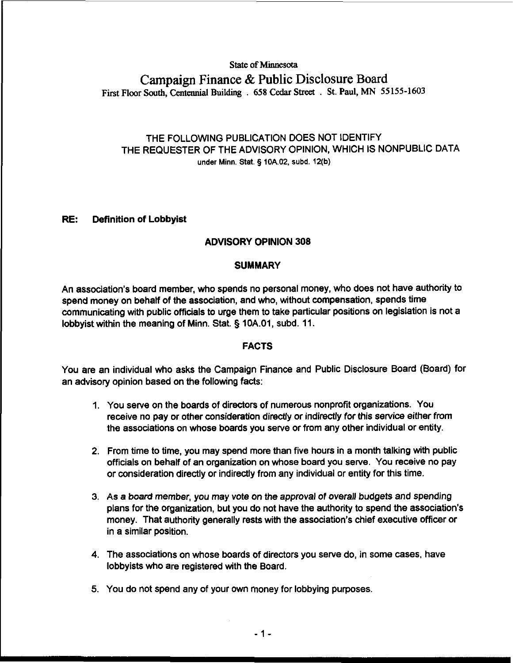# **State of Minnesota Campaign Finance** & **Public Disclosure Board First Floor South, Centennial Building** . **658 Cedar Street** . **St. Paul, MN 55 155-1603**

## THE FOLLOWING PUBLICATION DOES NOT IDENTIFY THE REQUESTER OF THE ADVISORY OPINION, WHICH IS NONPUBLIC DATA **under Minn. Stat.** § **10A.02, subd. 12(b)**

## RE: Definition of Lobbyist

## **ADVISORY OPINION 308**

## **SUMMARY**

An association's board member, who spends no personal money, who does not have authority to spend money on behalf of the association, and who, without compensation, spends time communicating with public officials to urge them to take particular positions on legislation is not a lobbyist within the meaning of Minn. Stat. § 10A.01, subd. 11.

## **FACTS**

You are an individual who asks the Campaign Finance and Public Disclosure Board (Board) for an advisory opinion based on the following facts:

- 1. You serve on the boards of directors of numerous nonprofit organizations. You receive no pay or other consideration directly or indirectly for this service either from the associations on whose boards you serve or from any other individual or entity.
- 2. From time to time, you may spend more than five hours in a month talking with public officials on behalf of an organization on whose board you serve. You receive no pay or consideration directly or indirectly from any individual or entity for this time.
- 3. As a board member, you may vote on the approval of overall budgets and spending plans for the Organization, but you do not have the authority to spend the association's money. That authority generally rests with the association's chief executive officer or in a similar position.
- 4. The associations on whose boards of directors you serve do, in some cases, have lobbyists who are registered with the Board.
- 5. You do not spend any of your own money for lobbying purposes.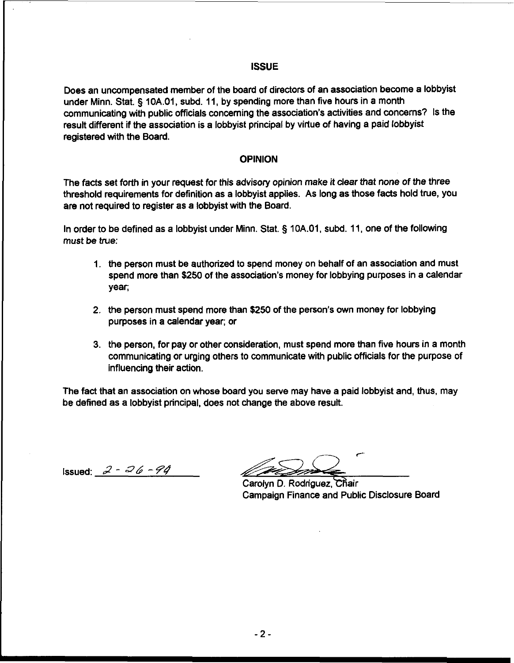#### **ISSUE**

Does an uncompensated member of the board of directors of an association become a lobbyist under Minn. Stat. **5** lOA.01, subd. 11, by spending more than five hours in a month communicating with public officials concerning the association's activities and concerns? Is the result different if the association is a lobbyist principal by virtue of having a paid lobbyist registered with the Board.

#### **OPINION**

The facts set forth in your request for this advisory opinion make it clear that none of the three threshold requirements for definition as a lobbyist applies. As long as those facts hold true, you are not required to register as a lobbyist with the Board.

In order to be defined as a lobbyist under Minn. Stat. **5** 10A.O1, subd. 11, one of the following must be true:

- 1. the person must be authorized to spend money on behalf of an association and must spend more than \$250 of the association's money for lobbying purposes in a calendar year;
- 2. the person must spend more than \$250 of the person's own money for lobbying purposes in a calendar year; or
- 3. the person, for pay or other consideration, must spend more than five hours in a month communicating or urging others to communicate with public officials for the purpose of influencing their action.

The fact that an association on whose board you serve may have a paid lobbyist and, thus, may be defined as a lobbyist principal, does not change the above result.

Issued: **2** - **dk** - **74** 

*C* 

Carolyn D. Rodriguez, Chair Campaign Finance and Public Disclosure Board